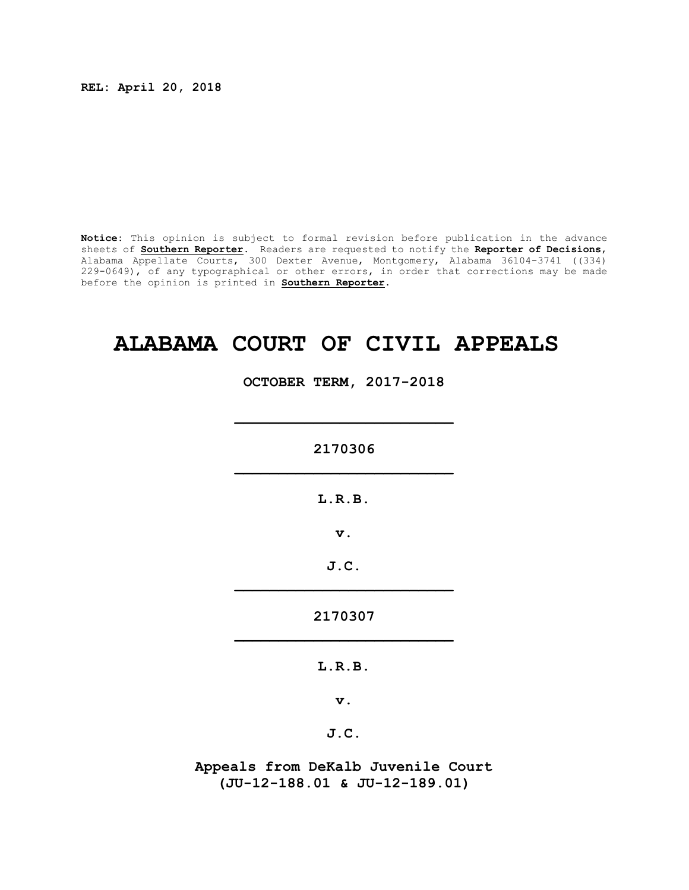**REL: April 20, 2018**

**Notice:** This opinion is subject to formal revision before publication in the advance sheets of **Southern Reporter**. Readers are requested to notify the **Reporter of Decisions**, Alabama Appellate Courts, 300 Dexter Avenue, Montgomery, Alabama 36104-3741 ((334) 229-0649), of any typographical or other errors, in order that corrections may be made before the opinion is printed in **Southern Reporter**.

# **ALABAMA COURT OF CIVIL APPEALS**

**OCTOBER TERM, 2017-2018**

**2170306 \_\_\_\_\_\_\_\_\_\_\_\_\_\_\_\_\_\_\_\_\_\_\_\_\_**

**\_\_\_\_\_\_\_\_\_\_\_\_\_\_\_\_\_\_\_\_\_\_\_\_\_**

**L.R.B.**

**v.**

**J.C. \_\_\_\_\_\_\_\_\_\_\_\_\_\_\_\_\_\_\_\_\_\_\_\_\_**

**2170307 \_\_\_\_\_\_\_\_\_\_\_\_\_\_\_\_\_\_\_\_\_\_\_\_\_**

**L.R.B.**

**v.**

**J.C.**

**Appeals from DeKalb Juvenile Court (JU-12-188.01 & JU-12-189.01)**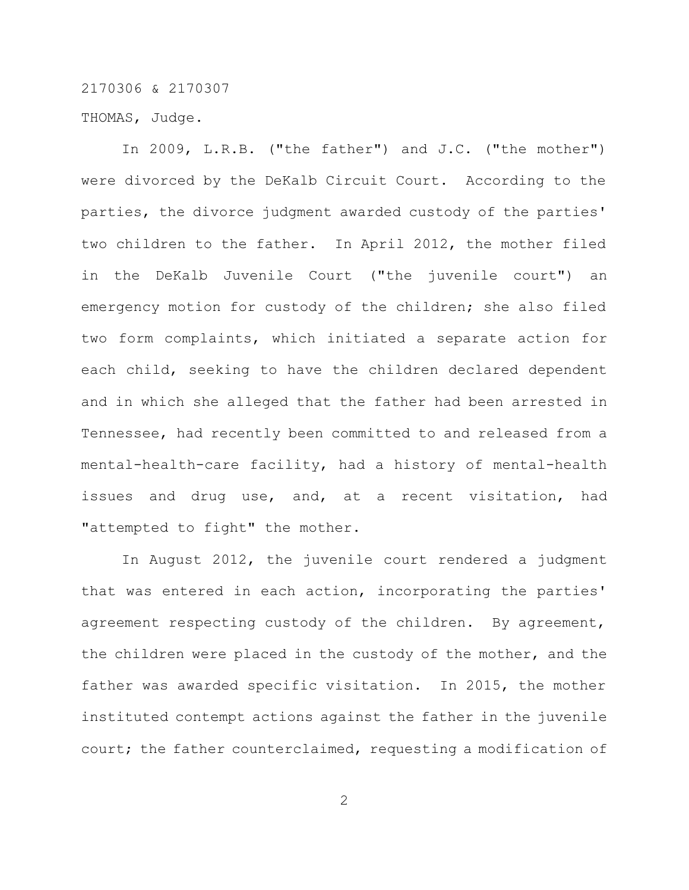THOMAS, Judge.

In 2009, L.R.B. ("the father") and J.C. ("the mother") were divorced by the DeKalb Circuit Court. According to the parties, the divorce judgment awarded custody of the parties' two children to the father. In April 2012, the mother filed in the DeKalb Juvenile Court ("the juvenile court") an emergency motion for custody of the children; she also filed two form complaints, which initiated a separate action for each child, seeking to have the children declared dependent and in which she alleged that the father had been arrested in Tennessee, had recently been committed to and released from a mental-health-care facility, had a history of mental-health issues and drug use, and, at a recent visitation, had "attempted to fight" the mother.

In August 2012, the juvenile court rendered a judgment that was entered in each action, incorporating the parties' agreement respecting custody of the children. By agreement, the children were placed in the custody of the mother, and the father was awarded specific visitation. In 2015, the mother instituted contempt actions against the father in the juvenile court; the father counterclaimed, requesting a modification of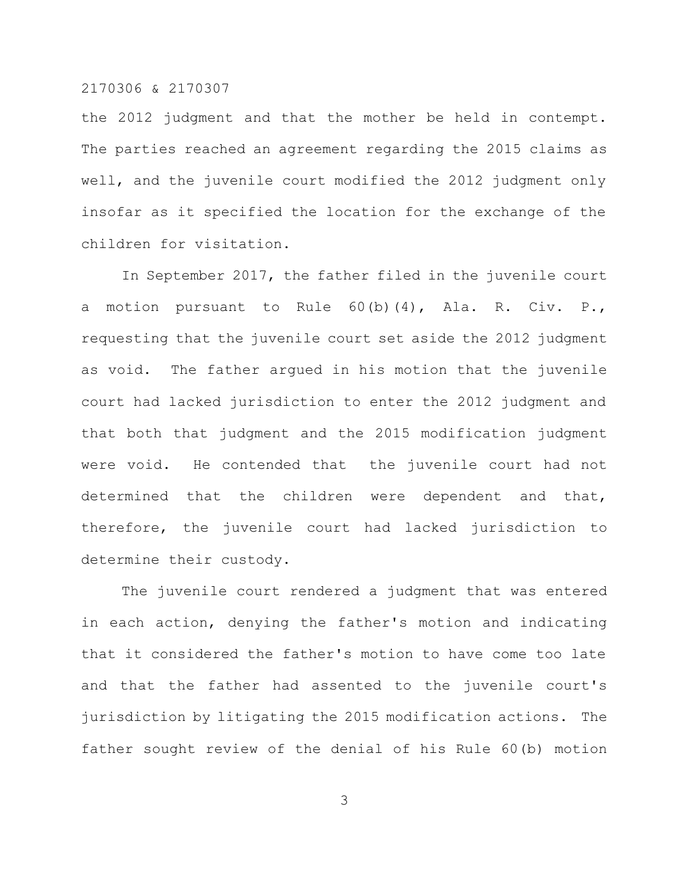the 2012 judgment and that the mother be held in contempt. The parties reached an agreement regarding the 2015 claims as well, and the juvenile court modified the 2012 judgment only insofar as it specified the location for the exchange of the children for visitation.

In September 2017, the father filed in the juvenile court a motion pursuant to Rule  $60(b)(4)$ , Ala. R. Civ. P., requesting that the juvenile court set aside the 2012 judgment as void. The father argued in his motion that the juvenile court had lacked jurisdiction to enter the 2012 judgment and that both that judgment and the 2015 modification judgment were void. He contended that the juvenile court had not determined that the children were dependent and that, therefore, the juvenile court had lacked jurisdiction to determine their custody.

The juvenile court rendered a judgment that was entered in each action, denying the father's motion and indicating that it considered the father's motion to have come too late and that the father had assented to the juvenile court's jurisdiction by litigating the 2015 modification actions. The father sought review of the denial of his Rule 60(b) motion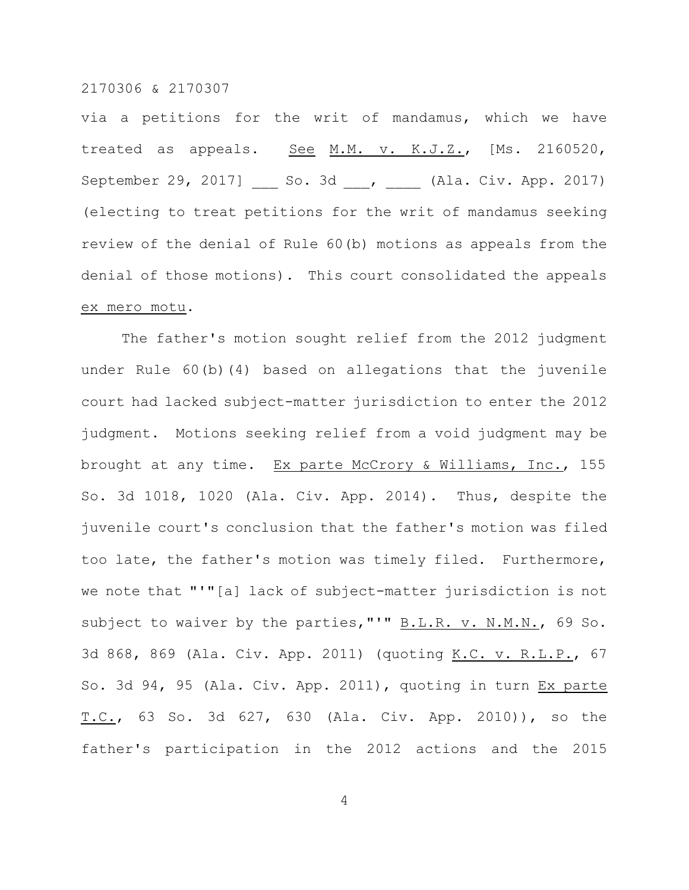via a petitions for the writ of mandamus, which we have treated as appeals. See M.M. v. K.J.Z., [Ms. 2160520, September 29, 2017] \_\_\_ So. 3d \_\_\_, \_\_\_\_ (Ala. Civ. App. 2017) (electing to treat petitions for the writ of mandamus seeking review of the denial of Rule 60(b) motions as appeals from the denial of those motions). This court consolidated the appeals ex mero motu.

The father's motion sought relief from the 2012 judgment under Rule 60(b)(4) based on allegations that the juvenile court had lacked subject-matter jurisdiction to enter the 2012 judgment. Motions seeking relief from a void judgment may be brought at any time. Ex parte McCrory & Williams, Inc., 155 So. 3d 1018, 1020 (Ala. Civ. App. 2014). Thus, despite the juvenile court's conclusion that the father's motion was filed too late, the father's motion was timely filed. Furthermore, we note that "'"[a] lack of subject-matter jurisdiction is not subject to waiver by the parties, "'" B.L.R. v. N.M.N., 69 So. 3d 868, 869 (Ala. Civ. App. 2011) (quoting K.C. v. R.L.P., 67 So. 3d 94, 95 (Ala. Civ. App. 2011), quoting in turn Ex parte T.C., 63 So. 3d 627, 630 (Ala. Civ. App. 2010)), so the father's participation in the 2012 actions and the 2015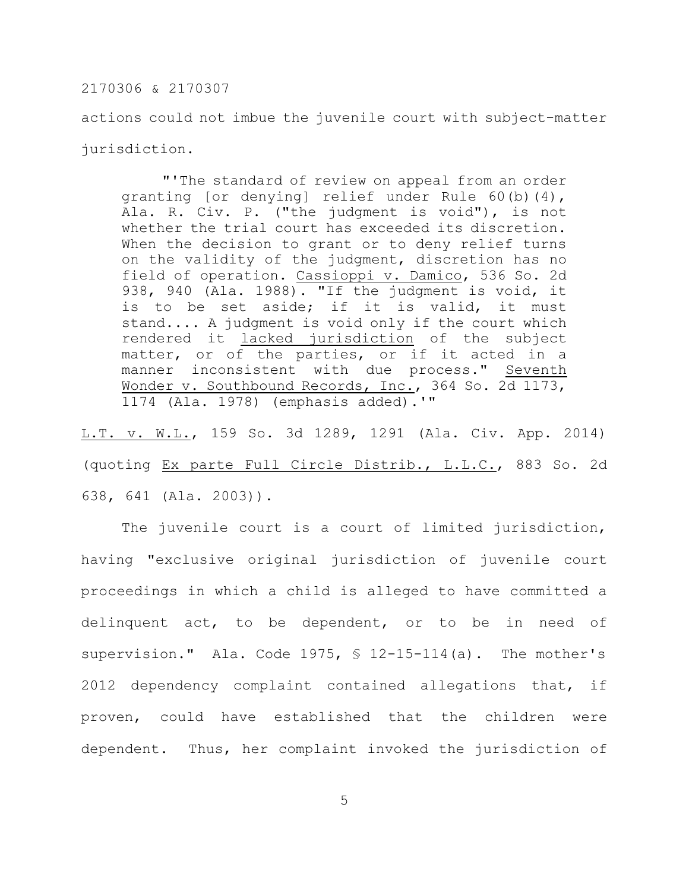actions could not imbue the juvenile court with subject-matter jurisdiction.

"'The standard of review on appeal from an order granting [or denying] relief under Rule 60(b)(4), Ala. R. Civ. P. ("the judgment is void"), is not whether the trial court has exceeded its discretion. When the decision to grant or to deny relief turns on the validity of the judgment, discretion has no field of operation. Cassioppi v. Damico, 536 So. 2d 938, 940 (Ala. 1988). "If the judgment is void, it is to be set aside; if it is valid, it must stand.... A judgment is void only if the court which rendered it lacked jurisdiction of the subject matter, or of the parties, or if it acted in a manner inconsistent with due process." Seventh Wonder v. Southbound Records, Inc., 364 So. 2d 1173, 1174 (Ala. 1978) (emphasis added).'"

L.T. v. W.L., 159 So. 3d 1289, 1291 (Ala. Civ. App. 2014) (quoting Ex parte Full Circle Distrib., L.L.C., 883 So. 2d 638, 641 (Ala. 2003)).

The juvenile court is a court of limited jurisdiction, having "exclusive original jurisdiction of juvenile court proceedings in which a child is alleged to have committed a delinquent act, to be dependent, or to be in need of supervision." Ala. Code 1975, § 12-15-114(a). The mother's 2012 dependency complaint contained allegations that, if proven, could have established that the children were dependent. Thus, her complaint invoked the jurisdiction of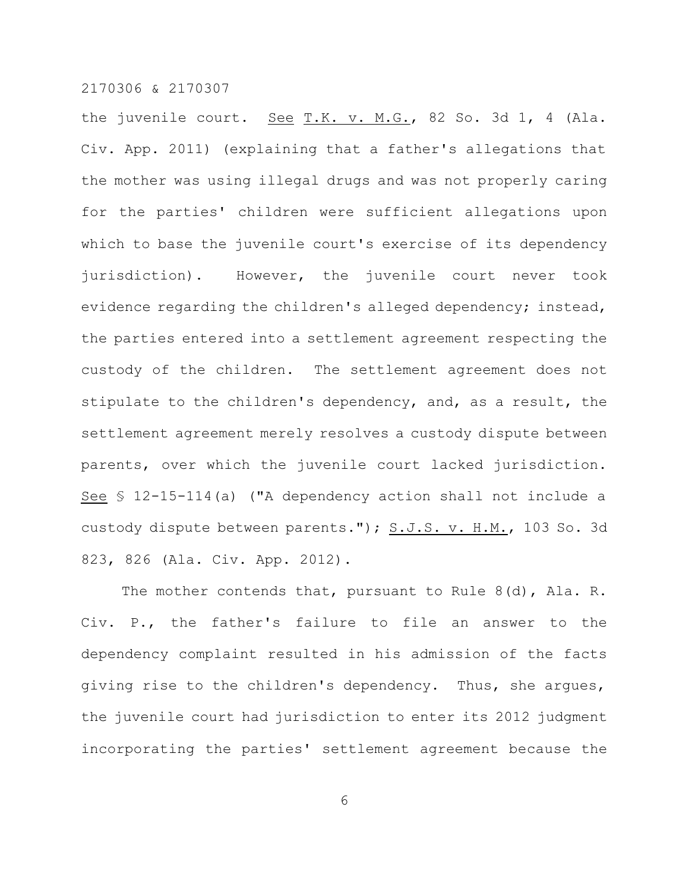the juvenile court. See  $T.K. v. M.G., 82$  So. 3d 1, 4 (Ala. Civ. App. 2011) (explaining that a father's allegations that the mother was using illegal drugs and was not properly caring for the parties' children were sufficient allegations upon which to base the juvenile court's exercise of its dependency jurisdiction). However, the juvenile court never took evidence regarding the children's alleged dependency; instead, the parties entered into a settlement agreement respecting the custody of the children. The settlement agreement does not stipulate to the children's dependency, and, as a result, the settlement agreement merely resolves a custody dispute between parents, over which the juvenile court lacked jurisdiction. See § 12-15-114(a) ("A dependency action shall not include a custody dispute between parents."); S.J.S. v. H.M., 103 So. 3d 823, 826 (Ala. Civ. App. 2012).

The mother contends that, pursuant to Rule 8(d), Ala. R. Civ. P., the father's failure to file an answer to the dependency complaint resulted in his admission of the facts giving rise to the children's dependency. Thus, she argues, the juvenile court had jurisdiction to enter its 2012 judgment incorporating the parties' settlement agreement because the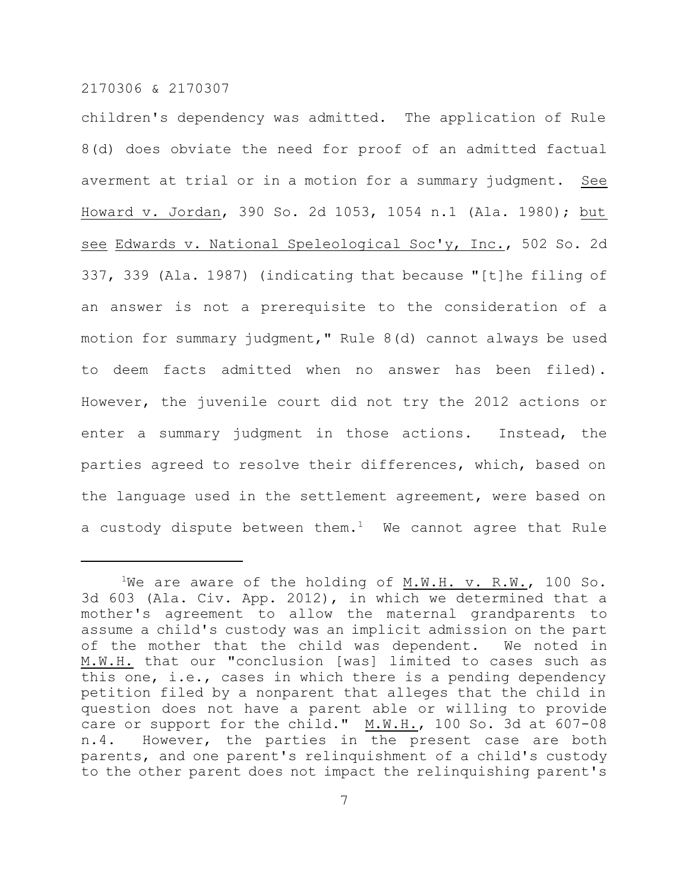children's dependency was admitted. The application of Rule 8(d) does obviate the need for proof of an admitted factual averment at trial or in a motion for a summary judgment. See Howard v. Jordan, 390 So. 2d 1053, 1054 n.1 (Ala. 1980); but see Edwards v. National Speleological Soc'y, Inc., 502 So. 2d 337, 339 (Ala. 1987) (indicating that because "[t]he filing of an answer is not a prerequisite to the consideration of a motion for summary judgment," Rule 8(d) cannot always be used to deem facts admitted when no answer has been filed). However, the juvenile court did not try the 2012 actions or enter a summary judgment in those actions. Instead, the parties agreed to resolve their differences, which, based on the language used in the settlement agreement, were based on a custody dispute between them.<sup>1</sup> We cannot agree that Rule

<sup>&</sup>lt;sup>1</sup>We are aware of the holding of M.W.H. v. R.W., 100 So. 3d 603 (Ala. Civ. App. 2012), in which we determined that a mother's agreement to allow the maternal grandparents to assume a child's custody was an implicit admission on the part of the mother that the child was dependent. We noted in M.W.H. that our "conclusion [was] limited to cases such as this one, i.e., cases in which there is a pending dependency petition filed by a nonparent that alleges that the child in question does not have a parent able or willing to provide care or support for the child." M.W.H., 100 So. 3d at 607-08 n.4. However, the parties in the present case are both parents, and one parent's relinquishment of a child's custody to the other parent does not impact the relinquishing parent's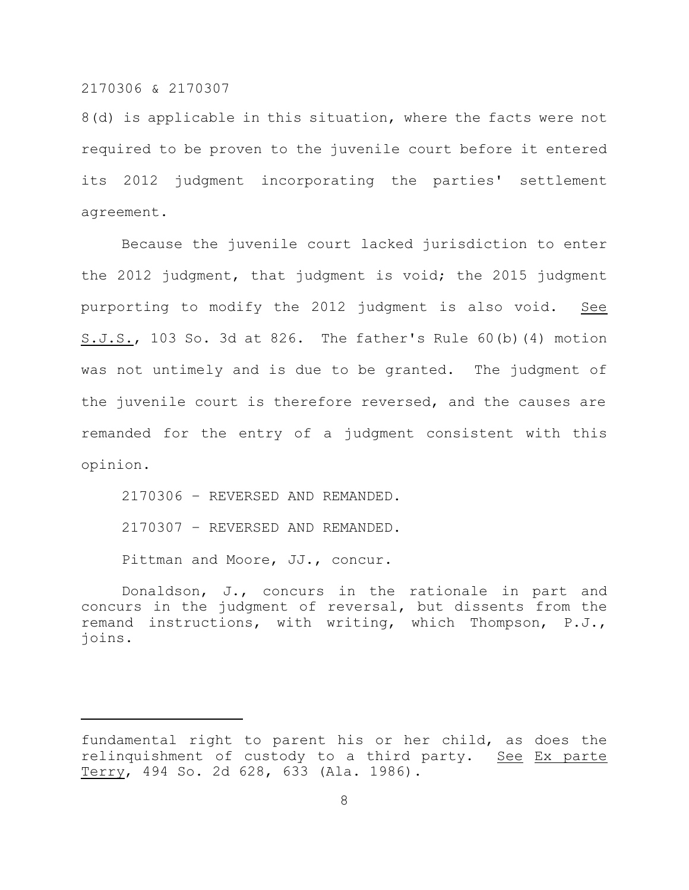8(d) is applicable in this situation, where the facts were not required to be proven to the juvenile court before it entered its 2012 judgment incorporating the parties' settlement agreement.

Because the juvenile court lacked jurisdiction to enter the 2012 judgment, that judgment is void; the 2015 judgment purporting to modify the 2012 judgment is also void. See S.J.S., 103 So. 3d at 826. The father's Rule 60(b)(4) motion was not untimely and is due to be granted. The judgment of the juvenile court is therefore reversed, and the causes are remanded for the entry of a judgment consistent with this opinion.

2170306 – REVERSED AND REMANDED. 2170307 – REVERSED AND REMANDED. Pittman and Moore, JJ., concur.

Donaldson, J., concurs in the rationale in part and concurs in the judgment of reversal, but dissents from the remand instructions, with writing, which Thompson, P.J., joins.

fundamental right to parent his or her child, as does the relinquishment of custody to a third party. See Ex parte Terry, 494 So. 2d 628, 633 (Ala. 1986).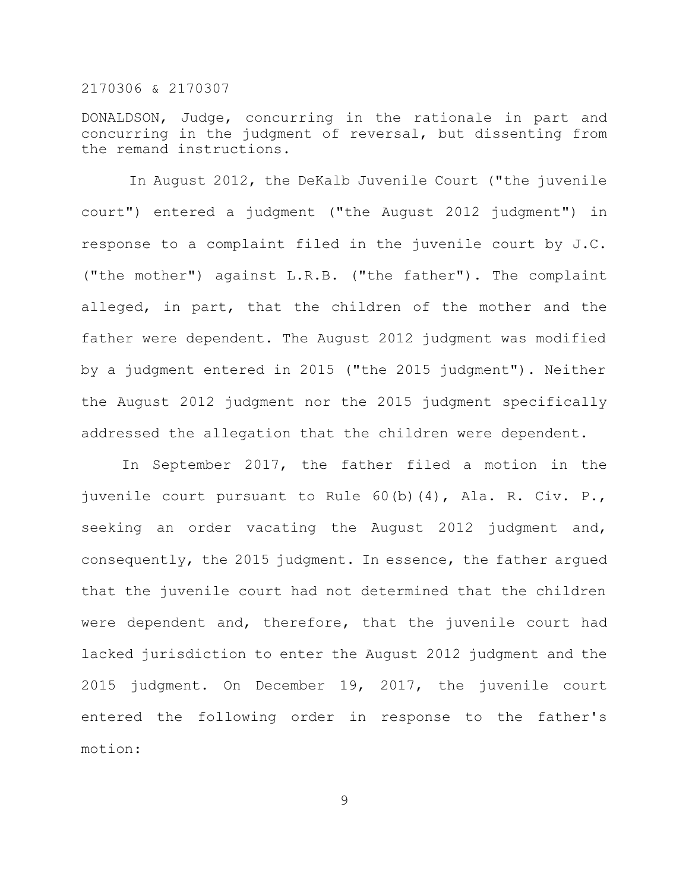DONALDSON, Judge, concurring in the rationale in part and concurring in the judgment of reversal, but dissenting from the remand instructions.

In August 2012, the DeKalb Juvenile Court ("the juvenile court") entered a judgment ("the August 2012 judgment") in response to a complaint filed in the juvenile court by J.C. ("the mother") against L.R.B. ("the father"). The complaint alleged, in part, that the children of the mother and the father were dependent. The August 2012 judgment was modified by a judgment entered in 2015 ("the 2015 judgment"). Neither the August 2012 judgment nor the 2015 judgment specifically addressed the allegation that the children were dependent.

In September 2017, the father filed a motion in the juvenile court pursuant to Rule 60(b)(4), Ala. R. Civ. P., seeking an order vacating the August 2012 judgment and, consequently, the 2015 judgment. In essence, the father argued that the juvenile court had not determined that the children were dependent and, therefore, that the juvenile court had lacked jurisdiction to enter the August 2012 judgment and the 2015 judgment. On December 19, 2017, the juvenile court entered the following order in response to the father's motion: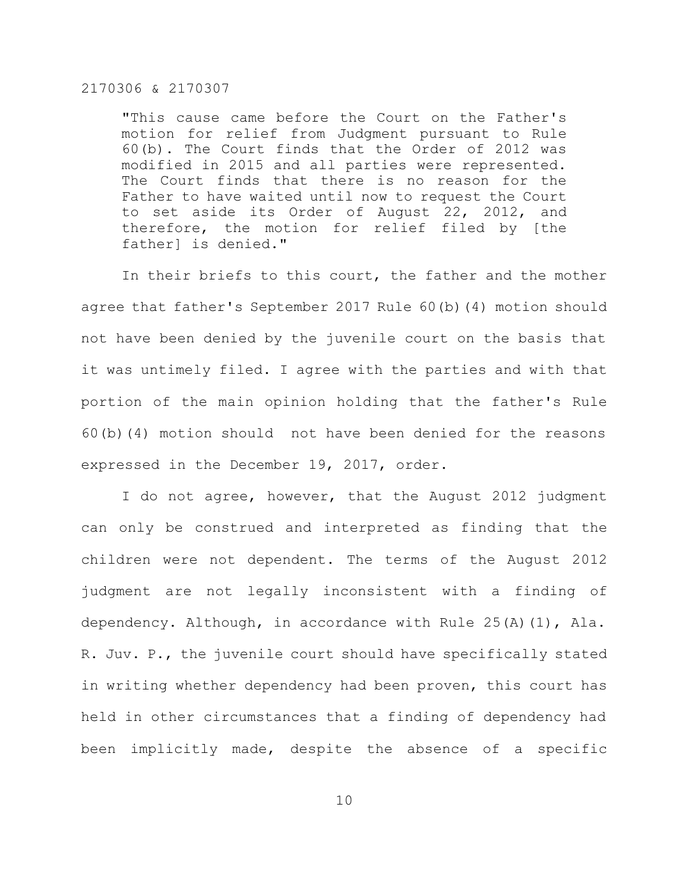"This cause came before the Court on the Father's motion for relief from Judgment pursuant to Rule 60(b). The Court finds that the Order of 2012 was modified in 2015 and all parties were represented. The Court finds that there is no reason for the Father to have waited until now to request the Court to set aside its Order of August 22, 2012, and therefore, the motion for relief filed by [the father] is denied."

In their briefs to this court, the father and the mother agree that father's September 2017 Rule 60(b)(4) motion should not have been denied by the juvenile court on the basis that it was untimely filed. I agree with the parties and with that portion of the main opinion holding that the father's Rule 60(b)(4) motion should not have been denied for the reasons expressed in the December 19, 2017, order.

I do not agree, however, that the August 2012 judgment can only be construed and interpreted as finding that the children were not dependent. The terms of the August 2012 judgment are not legally inconsistent with a finding of dependency. Although, in accordance with Rule 25(A)(1), Ala. R. Juv. P., the juvenile court should have specifically stated in writing whether dependency had been proven, this court has held in other circumstances that a finding of dependency had been implicitly made, despite the absence of a specific